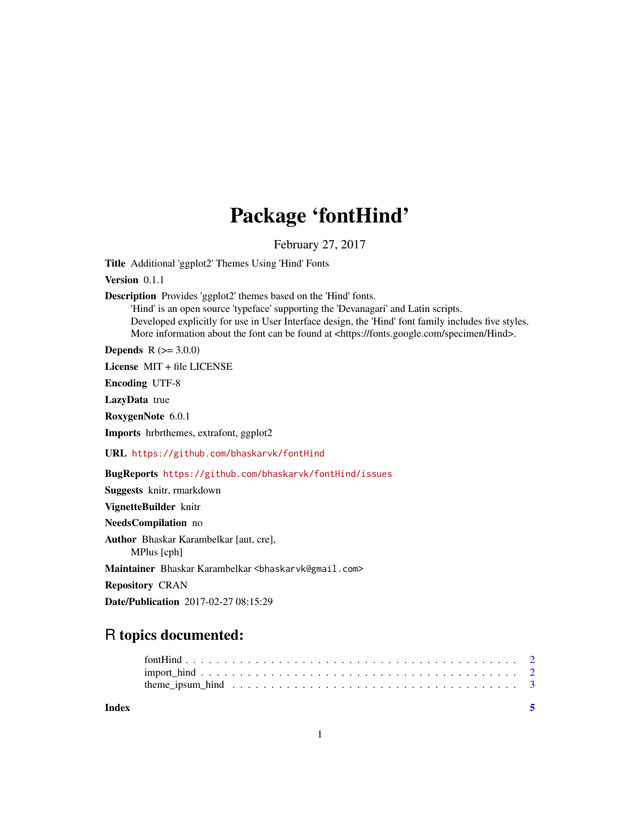## Package 'fontHind'

February 27, 2017

<span id="page-0-0"></span>Title Additional 'ggplot2' Themes Using 'Hind' Fonts

Version 0.1.1

Description Provides 'ggplot2' themes based on the 'Hind' fonts.

'Hind' is an open source 'typeface' supporting the 'Devanagari' and Latin scripts. Developed explicitly for use in User Interface design, the 'Hind' font family includes five styles. More information about the font can be found at <https://fonts.google.com/specimen/Hind>.

**Depends**  $R (= 3.0.0)$ 

License MIT + file LICENSE

Encoding UTF-8

LazyData true

RoxygenNote 6.0.1

Imports hrbrthemes, extrafont, ggplot2

URL <https://github.com/bhaskarvk/fontHind>

BugReports <https://github.com/bhaskarvk/fontHind/issues>

Suggests knitr, rmarkdown VignetteBuilder knitr NeedsCompilation no Author Bhaskar Karambelkar [aut, cre], MPlus [cph] Maintainer Bhaskar Karambelkar <bhaskarvk@gmail.com> Repository CRAN Date/Publication 2017-02-27 08:15:29

### R topics documented:

| Index |  |
|-------|--|
|       |  |
|       |  |
|       |  |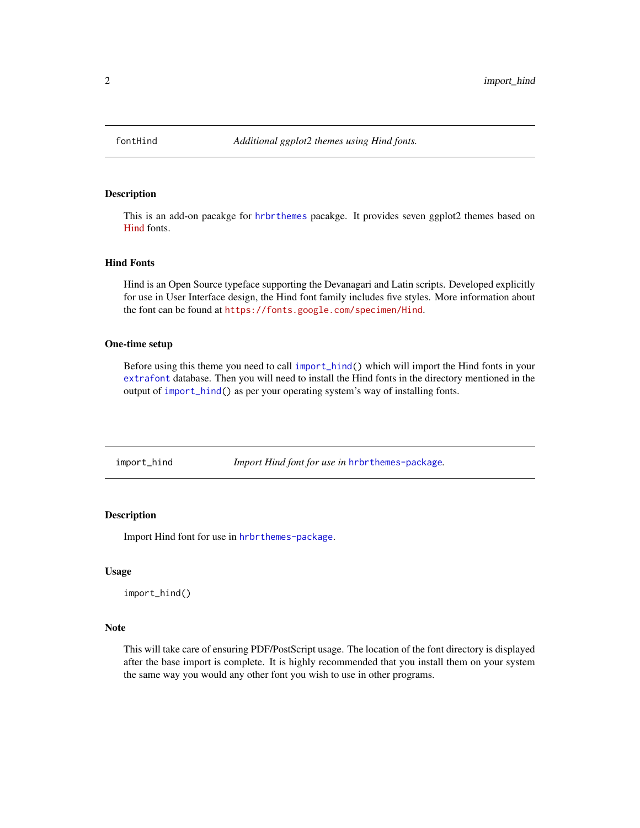<span id="page-1-0"></span>

#### Description

This is an add-on pacakge for [hrbrthemes](#page-0-0) pacakge. It provides seven ggplot2 themes based on [Hind](https://fonts.google.com/specimen/Hind) fonts.

#### Hind Fonts

Hind is an Open Source typeface supporting the Devanagari and Latin scripts. Developed explicitly for use in User Interface design, the Hind font family includes five styles. More information about the font can be found at <https://fonts.google.com/specimen/Hind>.

#### One-time setup

Before using this theme you need to call [import\\_hind\(](#page-1-1)) which will import the Hind fonts in your [extrafont](#page-0-0) database. Then you will need to install the Hind fonts in the directory mentioned in the output of [import\\_hind\(](#page-1-1)) as per your operating system's way of installing fonts.

<span id="page-1-1"></span>import\_hind *Import Hind font for use in* [hrbrthemes-package](#page-0-0)*.*

#### Description

Import Hind font for use in [hrbrthemes-package](#page-0-0).

#### Usage

import\_hind()

#### Note

This will take care of ensuring PDF/PostScript usage. The location of the font directory is displayed after the base import is complete. It is highly recommended that you install them on your system the same way you would any other font you wish to use in other programs.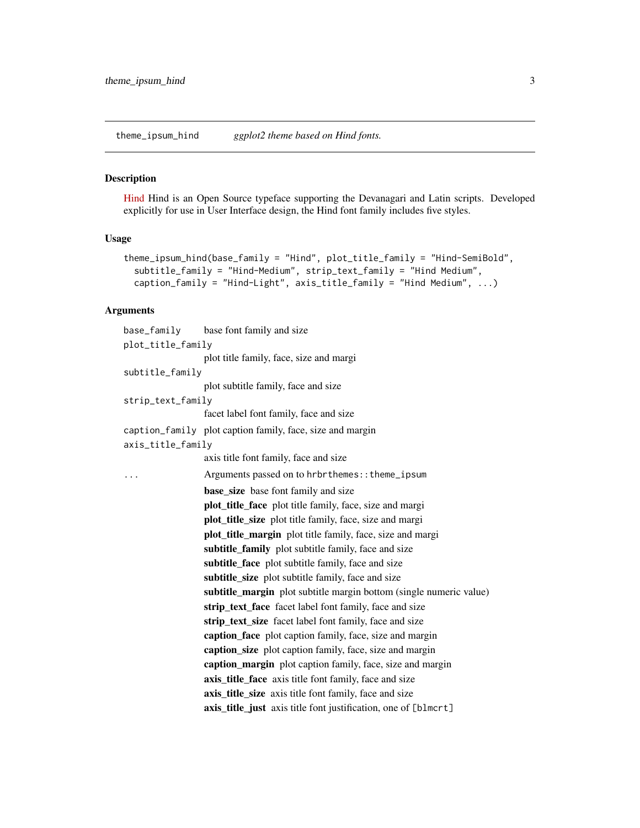<span id="page-2-0"></span>theme\_ipsum\_hind *ggplot2 theme based on Hind fonts.*

#### Description

[Hind](https://fonts.google.com/specimen/Hind) Hind is an Open Source typeface supporting the Devanagari and Latin scripts. Developed explicitly for use in User Interface design, the Hind font family includes five styles.

#### Usage

```
theme_ipsum_hind(base_family = "Hind", plot_title_family = "Hind-SemiBold",
subtitle_family = "Hind-Medium", strip_text_family = "Hind Medium",
caption_family = "Hind-Light", axis_title_family = "Hind Medium", ...)
```
#### Arguments

| base_family       | base font family and size                                                 |  |  |  |
|-------------------|---------------------------------------------------------------------------|--|--|--|
| plot_title_family |                                                                           |  |  |  |
|                   | plot title family, face, size and margi                                   |  |  |  |
| subtitle_family   |                                                                           |  |  |  |
|                   | plot subtitle family, face and size                                       |  |  |  |
| strip_text_family |                                                                           |  |  |  |
|                   | facet label font family, face and size                                    |  |  |  |
|                   | caption_family plot caption family, face, size and margin                 |  |  |  |
| axis_title_family |                                                                           |  |  |  |
|                   | axis title font family, face and size                                     |  |  |  |
| .                 | Arguments passed on to hrbrthemes:: theme_ipsum                           |  |  |  |
|                   | <b>base_size</b> base font family and size                                |  |  |  |
|                   | plot_title_face plot title family, face, size and margi                   |  |  |  |
|                   | plot_title_size plot title family, face, size and margi                   |  |  |  |
|                   | plot_title_margin plot title family, face, size and margi                 |  |  |  |
|                   | subtitle_family plot subtitle family, face and size                       |  |  |  |
|                   | subtitle_face plot subtitle family, face and size                         |  |  |  |
|                   | subtitle_size plot subtitle family, face and size                         |  |  |  |
|                   | <b>subtitle_margin</b> plot subtitle margin bottom (single numeric value) |  |  |  |
|                   | strip_text_face facet label font family, face and size                    |  |  |  |
|                   | strip_text_size facet label font family, face and size                    |  |  |  |
|                   | caption_face plot caption family, face, size and margin                   |  |  |  |
|                   | caption_size plot caption family, face, size and margin                   |  |  |  |
|                   | caption_margin plot caption family, face, size and margin                 |  |  |  |
|                   | axis_title_face axis title font family, face and size                     |  |  |  |
|                   | axis_title_size axis title font family, face and size                     |  |  |  |
|                   | axis_title_just axis title font justification, one of [blmcrt]            |  |  |  |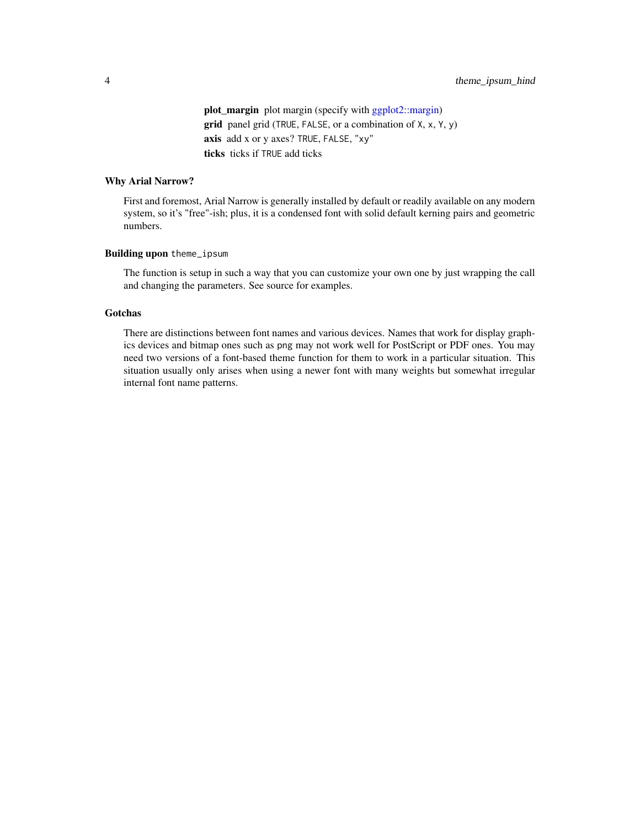<span id="page-3-0"></span>plot\_margin plot margin (specify with [ggplot2::margin\)](#page-0-0) grid panel grid (TRUE, FALSE, or a combination of X, x, Y, y) axis add x or y axes? TRUE, FALSE, "xy" ticks ticks if TRUE add ticks

#### Why Arial Narrow?

First and foremost, Arial Narrow is generally installed by default or readily available on any modern system, so it's "free"-ish; plus, it is a condensed font with solid default kerning pairs and geometric numbers.

#### Building upon theme\_ipsum

The function is setup in such a way that you can customize your own one by just wrapping the call and changing the parameters. See source for examples.

#### Gotchas

There are distinctions between font names and various devices. Names that work for display graphics devices and bitmap ones such as png may not work well for PostScript or PDF ones. You may need two versions of a font-based theme function for them to work in a particular situation. This situation usually only arises when using a newer font with many weights but somewhat irregular internal font name patterns.